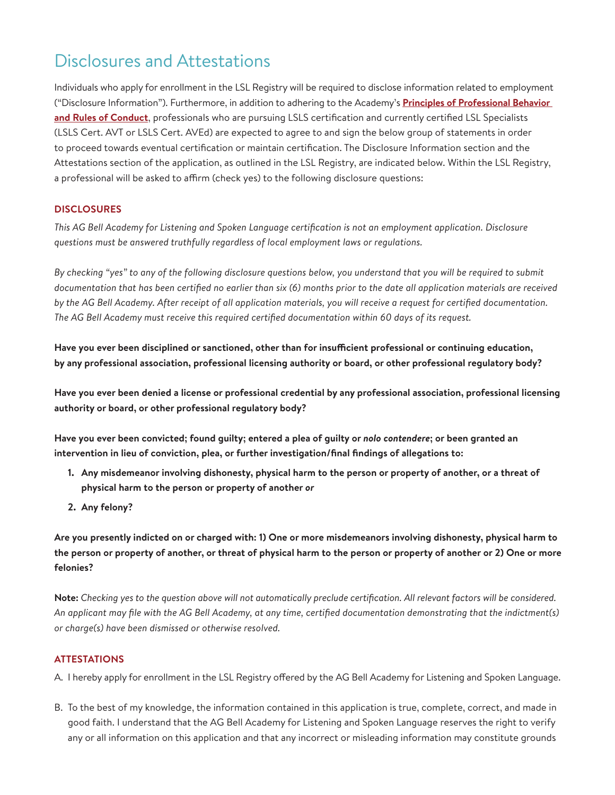## Disclosures and Attestations

Individuals who apply for enrollment in the LSL Registry will be required to disclose information related to employment ("Disclosure Information"). Furthermore, in addition to adhering to the Academy's **[Principles of Professional Behavior](https://agbellacademy.org/wp-content/uploads/2019/01/Academy-Code-of-Conduct.pdf) [and Rules of Conduct](https://agbellacademy.org/wp-content/uploads/2019/01/Academy-Code-of-Conduct.pdf)**, professionals who are pursuing LSLS certification and currently certified LSL Specialists (LSLS Cert. AVT or LSLS Cert. AVEd) are expected to agree to and sign the below group of statements in order to proceed towards eventual certification or maintain certification. The Disclosure Information section and the Attestations section of the application, as outlined in the LSL Registry, are indicated below. Within the LSL Registry, a professional will be asked to affirm (check yes) to the following disclosure questions:

## **DISCLOSURES**

*This AG Bell Academy for Listening and Spoken Language certification is not an employment application. Disclosure questions must be answered truthfully regardless of local employment laws or regulations.*

*By checking "yes" to any of the following disclosure questions below, you understand that you will be required to submit documentation that has been certified no earlier than six (6) months prior to the date all application materials are received by the AG Bell Academy. After receipt of all application materials, you will receive a request for certified documentation. The AG Bell Academy must receive this required certified documentation within 60 days of its request.*

**Have you ever been disciplined or sanctioned, other than for insufficient professional or continuing education, by any professional association, professional licensing authority or board, or other professional regulatory body?**

**Have you ever been denied a license or professional credential by any professional association, professional licensing authority or board, or other professional regulatory body?**

**Have you ever been convicted; found guilty; entered a plea of guilty or** *nolo contendere***; or been granted an intervention in lieu of conviction, plea, or further investigation/final findings of allegations to:**

- **1. Any misdemeanor involving dishonesty, physical harm to the person or property of another, or a threat of physical harm to the person or property of another** *or*
- **2. Any felony?**

**Are you presently indicted on or charged with: 1) One or more misdemeanors involving dishonesty, physical harm to the person or property of another, or threat of physical harm to the person or property of another or 2) One or more felonies?**

**Note:** *Checking yes to the question above will not automatically preclude certification. All relevant factors will be considered. An applicant may file with the AG Bell Academy, at any time, certified documentation demonstrating that the indictment(s) or charge(s) have been dismissed or otherwise resolved.*

## **ATTESTATIONS**

A. I hereby apply for enrollment in the LSL Registry offered by the AG Bell Academy for Listening and Spoken Language.

B. To the best of my knowledge, the information contained in this application is true, complete, correct, and made in good faith. I understand that the AG Bell Academy for Listening and Spoken Language reserves the right to verify any or all information on this application and that any incorrect or misleading information may constitute grounds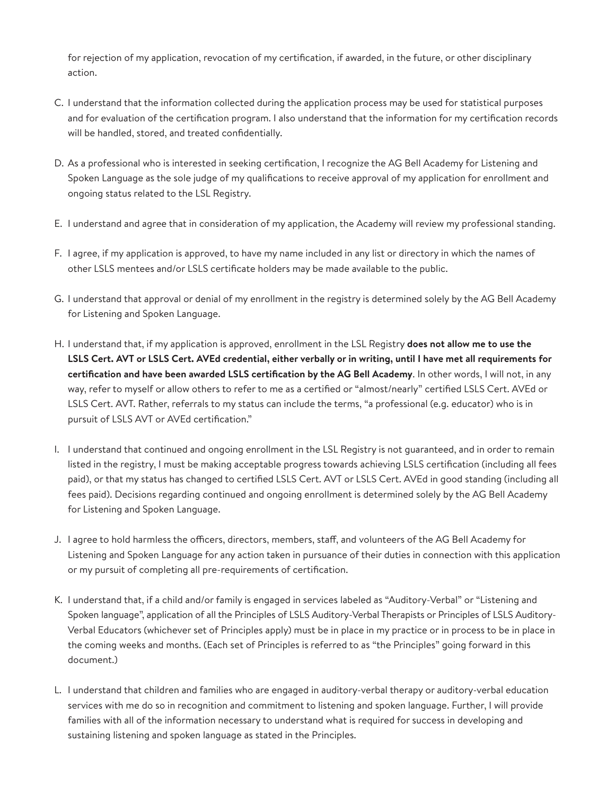for rejection of my application, revocation of my certification, if awarded, in the future, or other disciplinary action.

- C. I understand that the information collected during the application process may be used for statistical purposes and for evaluation of the certification program. I also understand that the information for my certification records will be handled, stored, and treated confidentially.
- D. As a professional who is interested in seeking certification, I recognize the AG Bell Academy for Listening and Spoken Language as the sole judge of my qualifications to receive approval of my application for enrollment and ongoing status related to the LSL Registry.
- E. I understand and agree that in consideration of my application, the Academy will review my professional standing.
- F. I agree, if my application is approved, to have my name included in any list or directory in which the names of other LSLS mentees and/or LSLS certificate holders may be made available to the public.
- G. I understand that approval or denial of my enrollment in the registry is determined solely by the AG Bell Academy for Listening and Spoken Language.
- H. I understand that, if my application is approved, enrollment in the LSL Registry **does not allow me to use the LSLS Cert. AVT or LSLS Cert. AVEd credential, either verbally or in writing, until I have met all requirements for certification and have been awarded LSLS certification by the AG Bell Academy**. In other words, I will not, in any way, refer to myself or allow others to refer to me as a certified or "almost/nearly" certified LSLS Cert. AVEd or LSLS Cert. AVT. Rather, referrals to my status can include the terms, "a professional (e.g. educator) who is in pursuit of LSLS AVT or AVEd certification."
- I. I understand that continued and ongoing enrollment in the LSL Registry is not guaranteed, and in order to remain listed in the registry, I must be making acceptable progress towards achieving LSLS certification (including all fees paid), or that my status has changed to certified LSLS Cert. AVT or LSLS Cert. AVEd in good standing (including all fees paid). Decisions regarding continued and ongoing enrollment is determined solely by the AG Bell Academy for Listening and Spoken Language.
- J. I agree to hold harmless the officers, directors, members, staff, and volunteers of the AG Bell Academy for Listening and Spoken Language for any action taken in pursuance of their duties in connection with this application or my pursuit of completing all pre-requirements of certification.
- K. I understand that, if a child and/or family is engaged in services labeled as "Auditory-Verbal" or "Listening and Spoken language", application of all the Principles of LSLS Auditory-Verbal Therapists or Principles of LSLS Auditory-Verbal Educators (whichever set of Principles apply) must be in place in my practice or in process to be in place in the coming weeks and months. (Each set of Principles is referred to as "the Principles" going forward in this document.)
- L. I understand that children and families who are engaged in auditory-verbal therapy or auditory-verbal education services with me do so in recognition and commitment to listening and spoken language. Further, I will provide families with all of the information necessary to understand what is required for success in developing and sustaining listening and spoken language as stated in the Principles.